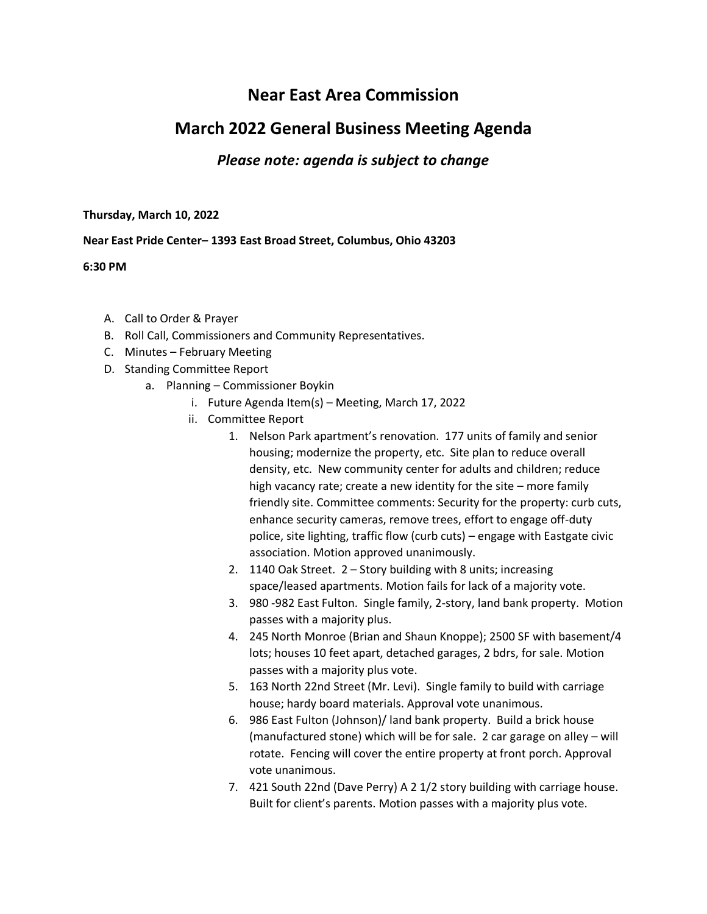## **Near East Area Commission**

## **March 2022 General Business Meeting Agenda**

## *Please note: agenda is subject to change*

**Thursday, March 10, 2022**

## **Near East Pride Center– 1393 East Broad Street, Columbus, Ohio 43203**

**6:30 PM**

- A. Call to Order & Prayer
- B. Roll Call, Commissioners and Community Representatives.
- C. Minutes February Meeting
- D. Standing Committee Report
	- a. Planning Commissioner Boykin
		- i. Future Agenda Item(s) Meeting, March 17, 2022
		- ii. Committee Report
			- 1. Nelson Park apartment's renovation. 177 units of family and senior housing; modernize the property, etc. Site plan to reduce overall density, etc. New community center for adults and children; reduce high vacancy rate; create a new identity for the site – more family friendly site. Committee comments: Security for the property: curb cuts, enhance security cameras, remove trees, effort to engage off-duty police, site lighting, traffic flow (curb cuts) – engage with Eastgate civic association. Motion approved unanimously.
			- 2. 1140 Oak Street. 2 Story building with 8 units; increasing space/leased apartments. Motion fails for lack of a majority vote.
			- 3. 980 -982 East Fulton. Single family, 2-story, land bank property. Motion passes with a majority plus.
			- 4. 245 North Monroe (Brian and Shaun Knoppe); 2500 SF with basement/4 lots; houses 10 feet apart, detached garages, 2 bdrs, for sale. Motion passes with a majority plus vote.
			- 5. 163 North 22nd Street (Mr. Levi). Single family to build with carriage house; hardy board materials. Approval vote unanimous.
			- 6. 986 East Fulton (Johnson)/ land bank property. Build a brick house (manufactured stone) which will be for sale. 2 car garage on alley – will rotate. Fencing will cover the entire property at front porch. Approval vote unanimous.
			- 7. 421 South 22nd (Dave Perry) A 2 1/2 story building with carriage house. Built for client's parents. Motion passes with a majority plus vote.